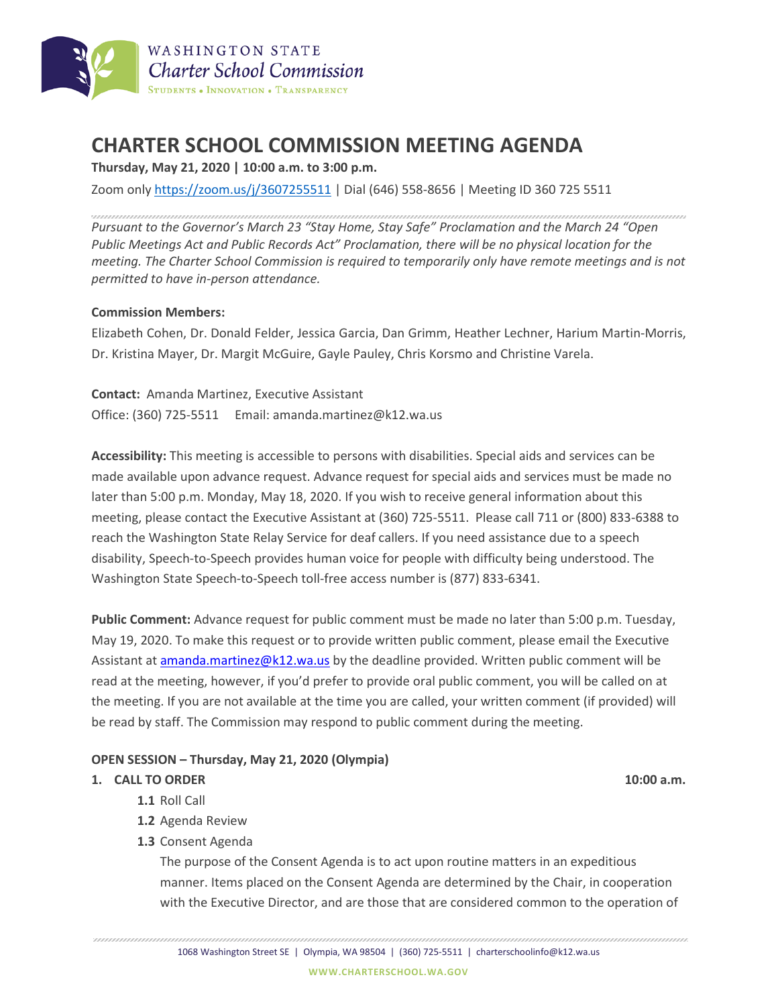

## **CHARTER SCHOOL COMMISSION MEETING AGENDA**

**Thursday, May 21, 2020 | 10:00 a.m. to 3:00 p.m.**

Zoom only <https://zoom.us/j/3607255511> | Dial (646) 558-8656 | Meeting ID 360 725 5511

*Pursuant to the Governor's March 23 "Stay Home, Stay Safe" Proclamation and the March 24 "Open Public Meetings Act and Public Records Act" Proclamation, there will be no physical location for the meeting. The Charter School Commission is required to temporarily only have remote meetings and is not permitted to have in-person attendance.*

## **Commission Members:**

Elizabeth Cohen, Dr. Donald Felder, Jessica Garcia, Dan Grimm, Heather Lechner, Harium Martin-Morris, Dr. Kristina Mayer, Dr. Margit McGuire, Gayle Pauley, Chris Korsmo and Christine Varela.

**Contact:** Amanda Martinez, Executive Assistant Office: (360) 725-5511 Email: amanda.martinez@k12.wa.us

**Accessibility:** This meeting is accessible to persons with disabilities. Special aids and services can be made available upon advance request. Advance request for special aids and services must be made no later than 5:00 p.m. Monday, May 18, 2020. If you wish to receive general information about this meeting, please contact the Executive Assistant at (360) 725-5511. Please call 711 or (800) 833-6388 to reach the Washington State Relay Service for deaf callers. If you need assistance due to a speech disability, Speech-to-Speech provides human voice for people with difficulty being understood. The Washington State Speech-to-Speech toll-free access number is (877) 833-6341.

**Public Comment:** Advance request for public comment must be made no later than 5:00 p.m. Tuesday, May 19, 2020. To make this request or to provide written public comment, please email the Executive Assistant at [amanda.martinez@k12.wa.us](mailto:amanda.martinez@k12.wa.us) by the deadline provided. Written public comment will be read at the meeting, however, if you'd prefer to provide oral public comment, you will be called on at the meeting. If you are not available at the time you are called, your written comment (if provided) will be read by staff. The Commission may respond to public comment during the meeting.

## **OPEN SESSION – Thursday, May 21, 2020 (Olympia)**

## **1. CALL TO ORDER 10:00 a.m.**

- **1.1** Roll Call
- **1.2** Agenda Review
- **1.3** Consent Agenda

The purpose of the Consent Agenda is to act upon routine matters in an expeditious manner. Items placed on the Consent Agenda are determined by the Chair, in cooperation with the Executive Director, and are those that are considered common to the operation of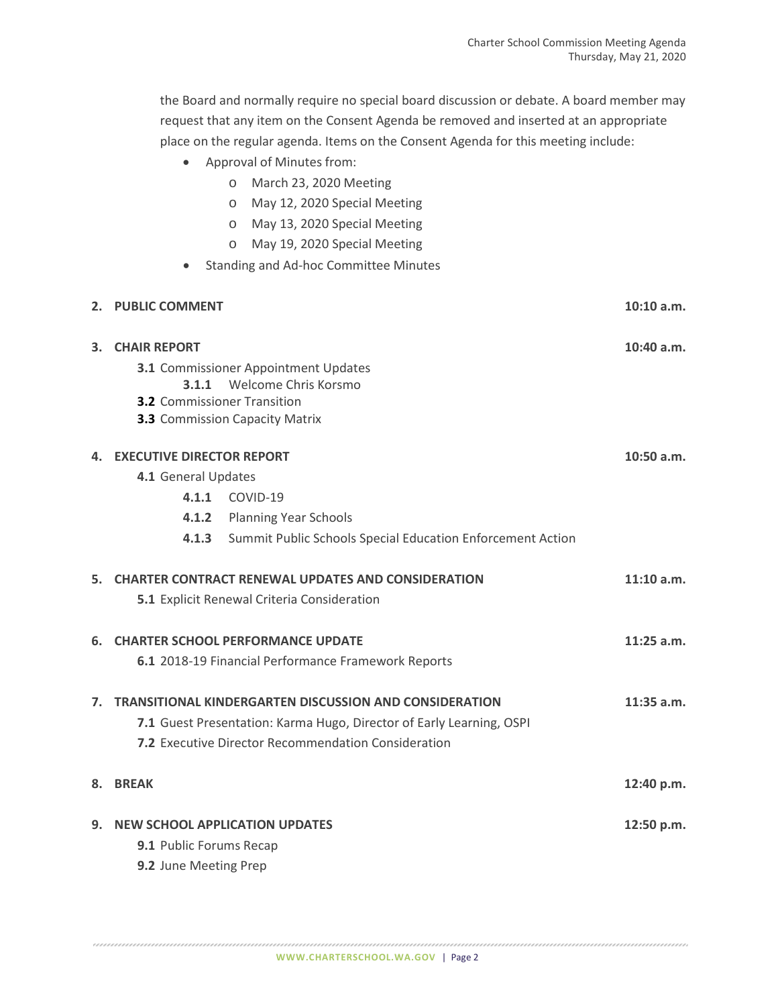the Board and normally require no special board discussion or debate. A board member may request that any item on the Consent Agenda be removed and inserted at an appropriate place on the regular agenda. Items on the Consent Agenda for this meeting include:

- Approval of Minutes from:
	- o March 23, 2020 Meeting
	- o May 12, 2020 Special Meeting
	- o May 13, 2020 Special Meeting
	- o May 19, 2020 Special Meeting
- Standing and Ad-hoc Committee Minutes

|                                                                     | 2. PUBLIC COMMENT                                                    |                                                            | 10:10 a.m.   |
|---------------------------------------------------------------------|----------------------------------------------------------------------|------------------------------------------------------------|--------------|
| 3.                                                                  | <b>CHAIR REPORT</b>                                                  |                                                            | 10:40 a.m.   |
|                                                                     | <b>3.1</b> Commissioner Appointment Updates                          |                                                            |              |
|                                                                     | 3.1.1 Welcome Chris Korsmo<br><b>3.2</b> Commissioner Transition     |                                                            |              |
|                                                                     | <b>3.3</b> Commission Capacity Matrix                                |                                                            |              |
|                                                                     |                                                                      |                                                            |              |
| 4.                                                                  | <b>EXECUTIVE DIRECTOR REPORT</b>                                     |                                                            | $10:50$ a.m. |
|                                                                     | 4.1 General Updates                                                  |                                                            |              |
|                                                                     |                                                                      | 4.1.1 COVID-19                                             |              |
|                                                                     |                                                                      | 4.1.2 Planning Year Schools                                |              |
|                                                                     | 4.1.3                                                                | Summit Public Schools Special Education Enforcement Action |              |
|                                                                     |                                                                      | 5. CHARTER CONTRACT RENEWAL UPDATES AND CONSIDERATION      | $11:10$ a.m. |
|                                                                     |                                                                      | 5.1 Explicit Renewal Criteria Consideration                |              |
| 6.                                                                  |                                                                      | <b>CHARTER SCHOOL PERFORMANCE UPDATE</b>                   | $11:25$ a.m. |
|                                                                     |                                                                      | 6.1 2018-19 Financial Performance Framework Reports        |              |
| <b>TRANSITIONAL KINDERGARTEN DISCUSSION AND CONSIDERATION</b><br>7. |                                                                      |                                                            | $11:35$ a.m. |
|                                                                     | 7.1 Guest Presentation: Karma Hugo, Director of Early Learning, OSPI |                                                            |              |
|                                                                     | <b>7.2</b> Executive Director Recommendation Consideration           |                                                            |              |
| 8.                                                                  | <b>BREAK</b>                                                         |                                                            | 12:40 p.m.   |
|                                                                     |                                                                      |                                                            |              |
| 9.                                                                  | <b>NEW SCHOOL APPLICATION UPDATES</b>                                |                                                            | 12:50 p.m.   |
|                                                                     | 9.1 Public Forums Recap                                              |                                                            |              |
|                                                                     | 9.2 June Meeting Prep                                                |                                                            |              |